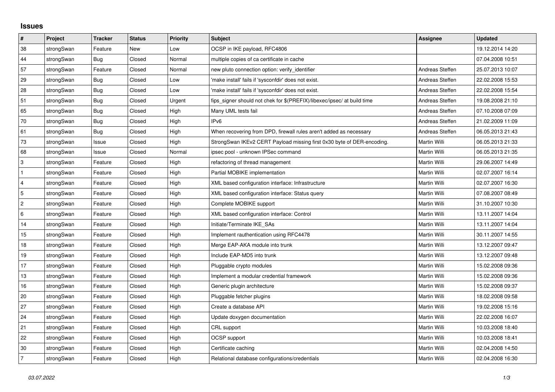## **Issues**

| $\vert$ #      | Project    | <b>Tracker</b> | <b>Status</b> | <b>Priority</b> | <b>Subject</b>                                                          | <b>Assignee</b> | <b>Updated</b>   |
|----------------|------------|----------------|---------------|-----------------|-------------------------------------------------------------------------|-----------------|------------------|
| 38             | strongSwan | Feature        | <b>New</b>    | Low             | OCSP in IKE payload, RFC4806                                            |                 | 19.12.2014 14:20 |
| 44             | strongSwan | Bug            | Closed        | Normal          | multiple copies of ca certificate in cache                              |                 | 07.04.2008 10:51 |
| 57             | strongSwan | Feature        | Closed        | Normal          | new pluto connection option: verify identifier                          | Andreas Steffen | 25.07.2013 10:07 |
| 29             | strongSwan | Bug            | Closed        | Low             | 'make install' fails if 'sysconfdir' does not exist.                    | Andreas Steffen | 22.02.2008 15:53 |
| 28             | strongSwan | Bug            | Closed        | Low             | 'make install' fails if 'sysconfdir' does not exist.                    | Andreas Steffen | 22.02.2008 15:54 |
| 51             | strongSwan | Bug            | Closed        | Urgent          | fips_signer should not chek for \$(PREFIX)/libexec/ipsec/ at build time | Andreas Steffen | 19.08.2008 21:10 |
| 65             | strongSwan | Bug            | Closed        | High            | Many UML tests fail                                                     | Andreas Steffen | 07.10.2008 07:09 |
| 70             | strongSwan | Bug            | Closed        | High            | IP <sub>v6</sub>                                                        | Andreas Steffen | 21.02.2009 11:09 |
| 61             | strongSwan | Bug            | Closed        | High            | When recovering from DPD, firewall rules aren't added as necessary      | Andreas Steffen | 06.05.2013 21:43 |
| 73             | strongSwan | Issue          | Closed        | High            | StrongSwan IKEv2 CERT Payload missing first 0x30 byte of DER-encoding.  | Martin Willi    | 06.05.2013 21:33 |
| 68             | strongSwan | Issue          | Closed        | Normal          | ipsec pool - unknown IPSec command                                      | Martin Willi    | 06.05.2013 21:35 |
| $\overline{3}$ | strongSwan | Feature        | Closed        | High            | refactoring of thread management                                        | Martin Willi    | 29.06.2007 14:49 |
| $\mathbf{1}$   | strongSwan | Feature        | Closed        | High            | Partial MOBIKE implementation                                           | Martin Willi    | 02.07.2007 16:14 |
| $\overline{4}$ | strongSwan | Feature        | Closed        | High            | XML based configuration interface: Infrastructure                       | Martin Willi    | 02.07.2007 16:30 |
| 5              | strongSwan | Feature        | Closed        | High            | XML based configuration interface: Status query                         | Martin Willi    | 07.08.2007 08:49 |
| $\overline{2}$ | strongSwan | Feature        | Closed        | High            | Complete MOBIKE support                                                 | Martin Willi    | 31.10.2007 10:30 |
| 6              | strongSwan | Feature        | Closed        | High            | XML based configuration interface: Control                              | Martin Willi    | 13.11.2007 14:04 |
| 14             | strongSwan | Feature        | Closed        | High            | Initiate/Terminate IKE_SAs                                              | Martin Willi    | 13.11.2007 14:04 |
| 15             | strongSwan | Feature        | Closed        | High            | Implement rauthentication using RFC4478                                 | Martin Willi    | 30.11.2007 14:55 |
| 18             | strongSwan | Feature        | Closed        | High            | Merge EAP-AKA module into trunk                                         | Martin Willi    | 13.12.2007 09:47 |
| 19             | strongSwan | Feature        | Closed        | High            | Include EAP-MD5 into trunk                                              | Martin Willi    | 13.12.2007 09:48 |
| 17             | strongSwan | Feature        | Closed        | High            | Pluggable crypto modules                                                | Martin Willi    | 15.02.2008 09:36 |
| 13             | strongSwan | Feature        | Closed        | High            | Implement a modular credential framework                                | Martin Willi    | 15.02.2008 09:36 |
| 16             | strongSwan | Feature        | Closed        | High            | Generic plugin architecture                                             | Martin Willi    | 15.02.2008 09:37 |
| 20             | strongSwan | Feature        | Closed        | High            | Pluggable fetcher plugins                                               | Martin Willi    | 18.02.2008 09:58 |
| 27             | strongSwan | Feature        | Closed        | High            | Create a database API                                                   | Martin Willi    | 19.02.2008 15:16 |
| 24             | strongSwan | Feature        | Closed        | High            | Update doxygen documentation                                            | Martin Willi    | 22.02.2008 16:07 |
| 21             | strongSwan | Feature        | Closed        | High            | CRL support                                                             | Martin Willi    | 10.03.2008 18:40 |
| 22             | strongSwan | Feature        | Closed        | High            | OCSP support                                                            | Martin Willi    | 10.03.2008 18:41 |
| 30             | strongSwan | Feature        | Closed        | High            | Certificate caching                                                     | Martin Willi    | 02.04.2008 14:50 |
| 7              | strongSwan | Feature        | Closed        | High            | Relational database configurations/credentials                          | Martin Willi    | 02.04.2008 16:30 |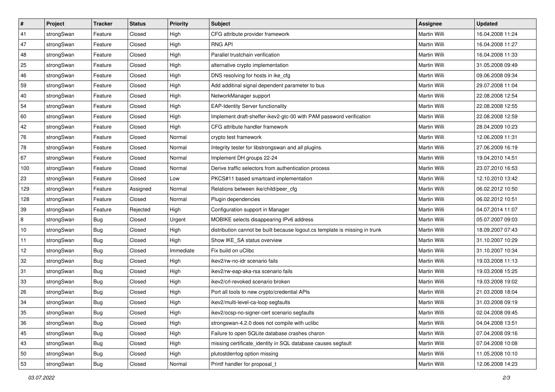| $\vert$ # | Project    | <b>Tracker</b> | <b>Status</b> | <b>Priority</b> | <b>Subject</b>                                                              | <b>Assignee</b>     | <b>Updated</b>   |
|-----------|------------|----------------|---------------|-----------------|-----------------------------------------------------------------------------|---------------------|------------------|
| 41        | strongSwan | Feature        | Closed        | High            | CFG attribute provider framework                                            | Martin Willi        | 16.04.2008 11:24 |
| 47        | strongSwan | Feature        | Closed        | High            | <b>RNG API</b>                                                              | <b>Martin Willi</b> | 16.04.2008 11:27 |
| 48        | strongSwan | Feature        | Closed        | High            | Parallel trustchain verification                                            | Martin Willi        | 16.04.2008 11:33 |
| 25        | strongSwan | Feature        | Closed        | High            | alternative crypto implementation                                           | Martin Willi        | 31.05.2008 09:49 |
| 46        | strongSwan | Feature        | Closed        | High            | DNS resolving for hosts in ike_cfg                                          | Martin Willi        | 09.06.2008 09:34 |
| 59        | strongSwan | Feature        | Closed        | High            | Add additinal signal dependent parameter to bus                             | <b>Martin Willi</b> | 29.07.2008 11:04 |
| 40        | strongSwan | Feature        | Closed        | High            | NetworkManager support                                                      | Martin Willi        | 22.08.2008 12:54 |
| 54        | strongSwan | Feature        | Closed        | High            | <b>EAP-Identity Server functionality</b>                                    | Martin Willi        | 22.08.2008 12:55 |
| 60        | strongSwan | Feature        | Closed        | High            | Implement draft-sheffer-ikev2-gtc-00 with PAM password verification         | Martin Willi        | 22.08.2008 12:59 |
| 42        | strongSwan | Feature        | Closed        | High            | CFG attribute handler framework                                             | Martin Willi        | 28.04.2009 10:23 |
| 76        | strongSwan | Feature        | Closed        | Normal          | crypto test framework                                                       | Martin Willi        | 12.06.2009 11:31 |
| 78        | strongSwan | Feature        | Closed        | Normal          | Integrity tester for libstrongswan and all plugins.                         | Martin Willi        | 27.06.2009 16:19 |
| 67        | strongSwan | Feature        | Closed        | Normal          | Implement DH groups 22-24                                                   | <b>Martin Willi</b> | 19.04.2010 14:51 |
| 100       | strongSwan | Feature        | Closed        | Normal          | Derive traffic selectors from authentication process                        | Martin Willi        | 23.07.2010 16:53 |
| 23        | strongSwan | Feature        | Closed        | Low             | PKCS#11 based smartcard implementation                                      | <b>Martin Willi</b> | 12.10.2010 13:42 |
| 129       | strongSwan | Feature        | Assigned      | Normal          | Relations between ike/child/peer_cfg                                        | Martin Willi        | 06.02.2012 10:50 |
| 128       | strongSwan | Feature        | Closed        | Normal          | Plugin dependencies                                                         | <b>Martin Willi</b> | 06.02.2012 10:51 |
| 39        | strongSwan | Feature        | Rejected      | High            | Configuration support in Manager                                            | Martin Willi        | 04.07.2014 11:07 |
| 8         | strongSwan | <b>Bug</b>     | Closed        | Urgent          | MOBIKE selects disappearing IPv6 address                                    | Martin Willi        | 05.07.2007 09:03 |
| 10        | strongSwan | Bug            | Closed        | High            | distribution cannot be built because logout.cs template is missing in trunk | Martin Willi        | 18.09.2007 07:43 |
| 11        | strongSwan | <b>Bug</b>     | Closed        | High            | Show IKE SA status overview                                                 | Martin Willi        | 31.10.2007 10:29 |
| 12        | strongSwan | <b>Bug</b>     | Closed        | Immediate       | Fix build on uClibc                                                         | Martin Willi        | 31.10.2007 10:34 |
| 32        | strongSwan | Bug            | Closed        | High            | ikev2/rw-no-idr scenario fails                                              | Martin Willi        | 19.03.2008 11:13 |
| 31        | strongSwan | <b>Bug</b>     | Closed        | High            | ikev2/rw-eap-aka-rsa scenario fails                                         | Martin Willi        | 19.03.2008 15:25 |
| 33        | strongSwan | <b>Bug</b>     | Closed        | High            | ikev2/crl-revoked scenario broken                                           | Martin Willi        | 19.03.2008 19:02 |
| 26        | strongSwan | <b>Bug</b>     | Closed        | High            | Port all tools to new crypto/credential APIs                                | Martin Willi        | 21.03.2008 18:04 |
| 34        | strongSwan | Bug            | Closed        | High            | ikev2/multi-level-ca-loop segfaults                                         | Martin Willi        | 31.03.2008 09:19 |
| 35        | strongSwan | Bug            | Closed        | High            | ikev2/ocsp-no-signer-cert scenario segfaults                                | Martin Willi        | 02.04.2008 09:45 |
| 36        | strongSwan | Bug            | Closed        | High            | strongswan-4.2.0 does not compile with uclibe                               | Martin Willi        | 04.04.2008 13:51 |
| 45        | strongSwan | Bug            | Closed        | High            | Failure to open SQLite database crashes charon                              | Martin Willi        | 07.04.2008 09:16 |
| 43        | strongSwan | Bug            | Closed        | High            | missing certificate_identity in SQL database causes segfault                | Martin Willi        | 07.04.2008 10:08 |
| 50        | strongSwan | Bug            | Closed        | High            | plutostderrlog option missing                                               | Martin Willi        | 11.05.2008 10:10 |
| 53        | strongSwan | <b>Bug</b>     | Closed        | Normal          | Printf handler for proposal_t                                               | Martin Willi        | 12.06.2008 14:23 |